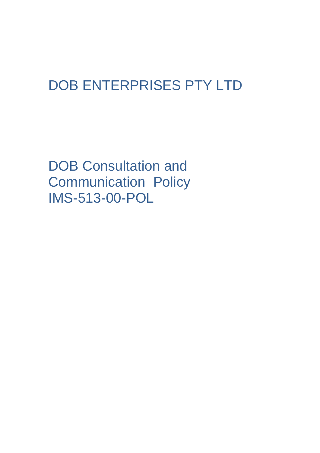# DOB ENTERPRISES PTY LTD

DOB Consultation and Communication Policy IMS-513-00-POL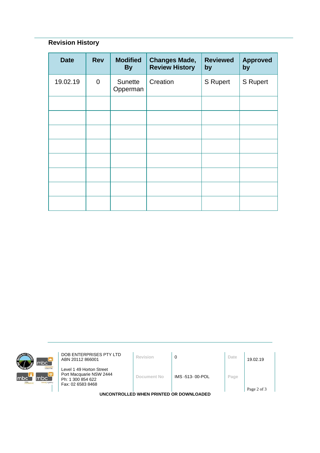## **Revision History**

| <b>Date</b> | <b>Rev</b>  | <b>Modified</b><br><b>By</b> | <b>Changes Made,</b><br><b>Review History</b> | <b>Reviewed</b><br>by | <b>Approved</b><br>by |
|-------------|-------------|------------------------------|-----------------------------------------------|-----------------------|-----------------------|
| 19.02.19    | $\mathbf 0$ | Sunette<br>Opperman          | Creation                                      | S Rupert              | <b>S</b> Rupert       |
|             |             |                              |                                               |                       |                       |
|             |             |                              |                                               |                       |                       |
|             |             |                              |                                               |                       |                       |
|             |             |                              |                                               |                       |                       |
|             |             |                              |                                               |                       |                       |
|             |             |                              |                                               |                       |                       |
|             |             |                              |                                               |                       |                       |
|             |             |                              |                                               |                       |                       |



**DOB ENTERPRISES PTY LTD**<br>ABN 20112 866001 **Revision 0 D Date** 19.02.19

Level 1 49 Horton Street Port Macquarie NSW 2444 Ph: 1 300 854 622 Fax: 02 6583 8468

**Document No** IMS -513- 00-POL **Page**

**UNCONTROLLED WHEN PRINTED OR DOWNLOADED**

Page 2 of 3